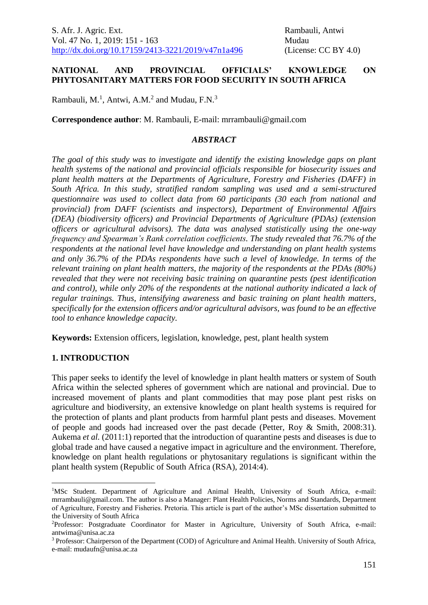#### **NATIONAL AND PROVINCIAL OFFICIALS' KNOWLEDGE ON PHYTOSANITARY MATTERS FOR FOOD SECURITY IN SOUTH AFRICA**

Rambauli, M.<sup>1</sup>, Antwi, A.M.<sup>2</sup> and Mudau, F.N.<sup>3</sup>

**Correspondence author**: M. Rambauli, E-mail: mrrambauli@gmail.com

#### *ABSTRACT*

*The goal of this study was to investigate and identify the existing knowledge gaps on plant health systems of the national and provincial officials responsible for biosecurity issues and plant health matters at the Departments of Agriculture, Forestry and Fisheries (DAFF) in South Africa. In this study, stratified random sampling was used and a semi-structured questionnaire was used to collect data from 60 participants (30 each from national and provincial) from DAFF (scientists and inspectors), Department of Environmental Affairs (DEA) (biodiversity officers) and Provincial Departments of Agriculture (PDAs) (extension officers or agricultural advisors). The data was analysed statistically using the one-way frequency and Spearman's Rank correlation coefficients. The study revealed that 76.7% of the respondents at the national level have knowledge and understanding on plant health systems and only 36.7% of the PDAs respondents have such a level of knowledge. In terms of the relevant training on plant health matters, the majority of the respondents at the PDAs (80%) revealed that they were not receiving basic training on quarantine pests (pest identification and control), while only 20% of the respondents at the national authority indicated a lack of regular trainings. Thus, intensifying awareness and basic training on plant health matters, specifically for the extension officers and/or agricultural advisors, was found to be an effective tool to enhance knowledge capacity.* 

**Keywords:** Extension officers, legislation, knowledge, pest, plant health system

#### **1. INTRODUCTION**

<u>.</u>

This paper seeks to identify the level of knowledge in plant health matters or system of South Africa within the selected spheres of government which are national and provincial. Due to increased movement of plants and plant commodities that may pose plant pest risks on agriculture and biodiversity, an extensive knowledge on plant health systems is required for the protection of plants and plant products from harmful plant pests and diseases. Movement of people and goods had increased over the past decade (Petter, Roy & Smith, 2008:31). Aukema *et al.* (2011:1) reported that the introduction of quarantine pests and diseases is due to global trade and have caused a negative impact in agriculture and the environment. Therefore, knowledge on plant health regulations or phytosanitary regulations is significant within the plant health system (Republic of South Africa (RSA), 2014:4).

<sup>&</sup>lt;sup>1</sup>MSc Student. Department of Agriculture and Animal Health, University of South Africa, e-mail: mrrambauli@gmail.com. The author is also a Manager: Plant Health Policies, Norms and Standards, Department of Agriculture, Forestry and Fisheries. Pretoria. This article is part of the author's MSc dissertation submitted to the University of South Africa

<sup>2</sup>Professor: Postgraduate Coordinator for Master in Agriculture, University of South Africa, e-mail: antwima@unisa.ac.za

<sup>3</sup> Professor: Chairperson of the Department (COD) of Agriculture and Animal Health. University of South Africa, e-mail: mudaufn@unisa.ac.za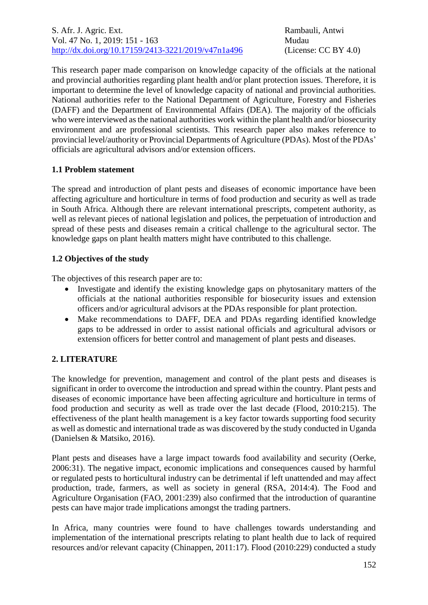This research paper made comparison on knowledge capacity of the officials at the national and provincial authorities regarding plant health and/or plant protection issues. Therefore, it is important to determine the level of knowledge capacity of national and provincial authorities. National authorities refer to the National Department of Agriculture, Forestry and Fisheries (DAFF) and the Department of Environmental Affairs (DEA). The majority of the officials who were interviewed asthe national authorities work within the plant health and/or biosecurity environment and are professional scientists. This research paper also makes reference to provincial level/authority or Provincial Departments of Agriculture (PDAs). Most of the PDAs' officials are agricultural advisors and/or extension officers.

## **1.1 Problem statement**

The spread and introduction of plant pests and diseases of economic importance have been affecting agriculture and horticulture in terms of food production and security as well as trade in South Africa. Although there are relevant international prescripts, competent authority, as well as relevant pieces of national legislation and polices, the perpetuation of introduction and spread of these pests and diseases remain a critical challenge to the agricultural sector. The knowledge gaps on plant health matters might have contributed to this challenge.

## **1.2 Objectives of the study**

The objectives of this research paper are to:

- Investigate and identify the existing knowledge gaps on phytosanitary matters of the officials at the national authorities responsible for biosecurity issues and extension officers and/or agricultural advisors at the PDAs responsible for plant protection.
- Make recommendations to DAFF, DEA and PDAs regarding identified knowledge gaps to be addressed in order to assist national officials and agricultural advisors or extension officers for better control and management of plant pests and diseases.

# **2. LITERATURE**

The knowledge for prevention, management and control of the plant pests and diseases is significant in order to overcome the introduction and spread within the country. Plant pests and diseases of economic importance have been affecting agriculture and horticulture in terms of food production and security as well as trade over the last decade (Flood, 2010:215). The effectiveness of the plant health management is a key factor towards supporting food security as well as domestic and international trade as was discovered by the study conducted in Uganda (Danielsen & Matsiko, 2016).

Plant pests and diseases have a large impact towards food availability and security (Oerke, 2006:31). The negative impact, economic implications and consequences caused by harmful or regulated pests to horticultural industry can be detrimental if left unattended and may affect production, trade, farmers, as well as society in general (RSA, 2014:4). The Food and Agriculture Organisation (FAO, 2001:239) also confirmed that the introduction of quarantine pests can have major trade implications amongst the trading partners.

In Africa, many countries were found to have challenges towards understanding and implementation of the international prescripts relating to plant health due to lack of required resources and/or relevant capacity (Chinappen, 2011:17). Flood (2010:229) conducted a study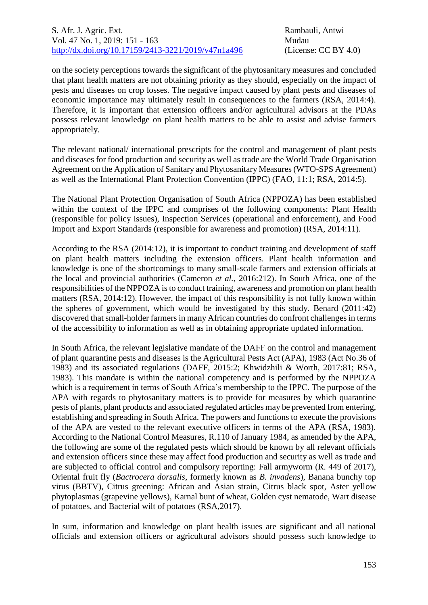on the society perceptions towards the significant of the phytosanitary measures and concluded that plant health matters are not obtaining priority as they should, especially on the impact of pests and diseases on crop losses. The negative impact caused by plant pests and diseases of economic importance may ultimately result in consequences to the farmers (RSA, 2014:4). Therefore, it is important that extension officers and/or agricultural advisors at the PDAs possess relevant knowledge on plant health matters to be able to assist and advise farmers appropriately.

The relevant national/ international prescripts for the control and management of plant pests and diseases for food production and security as well as trade are the World Trade Organisation Agreement on the Application of Sanitary and Phytosanitary Measures (WTO-SPS Agreement) as well as the International Plant Protection Convention (IPPC) (FAO, 11:1; RSA, 2014:5).

The National Plant Protection Organisation of South Africa (NPPOZA) has been established within the context of the IPPC and comprises of the following components: Plant Health (responsible for policy issues), Inspection Services (operational and enforcement), and Food Import and Export Standards (responsible for awareness and promotion) (RSA, 2014:11).

According to the RSA (2014:12), it is important to conduct training and development of staff on plant health matters including the extension officers. Plant health information and knowledge is one of the shortcomings to many small-scale farmers and extension officials at the local and provincial authorities (Cameron *et al.*, 2016:212). In South Africa, one of the responsibilities of the NPPOZA is to conduct training, awareness and promotion on plant health matters (RSA, 2014:12). However, the impact of this responsibility is not fully known within the spheres of government, which would be investigated by this study. Benard (2011:42) discovered that small-holder farmers in many African countries do confront challenges in terms of the accessibility to information as well as in obtaining appropriate updated information.

In South Africa, the relevant legislative mandate of the DAFF on the control and management of plant quarantine pests and diseases is the Agricultural Pests Act (APA), 1983 (Act No.36 of 1983) and its associated regulations (DAFF, 2015:2; Khwidzhili & Worth, 2017:81; RSA, 1983). This mandate is within the national competency and is performed by the NPPOZA which is a requirement in terms of South Africa's membership to the IPPC. The purpose of the APA with regards to phytosanitary matters is to provide for measures by which quarantine pests of plants, plant products and associated regulated articles may be prevented from entering, establishing and spreading in South Africa. The powers and functions to execute the provisions of the APA are vested to the relevant executive officers in terms of the APA (RSA, 1983). According to the National Control Measures, R.110 of January 1984, as amended by the APA, the following are some of the regulated pests which should be known by all relevant officials and extension officers since these may affect food production and security as well as trade and are subjected to official control and compulsory reporting: Fall armyworm (R. 449 of 2017), Oriental fruit fly (*Bactrocera dorsalis*, formerly known as *B. invadens*), Banana bunchy top virus (BBTV), Citrus greening: African and Asian strain, Citrus black spot, Aster yellow phytoplasmas (grapevine yellows), Karnal bunt of wheat, Golden cyst nematode, Wart disease of potatoes, and Bacterial wilt of potatoes (RSA,2017).

In sum, information and knowledge on plant health issues are significant and all national officials and extension officers or agricultural advisors should possess such knowledge to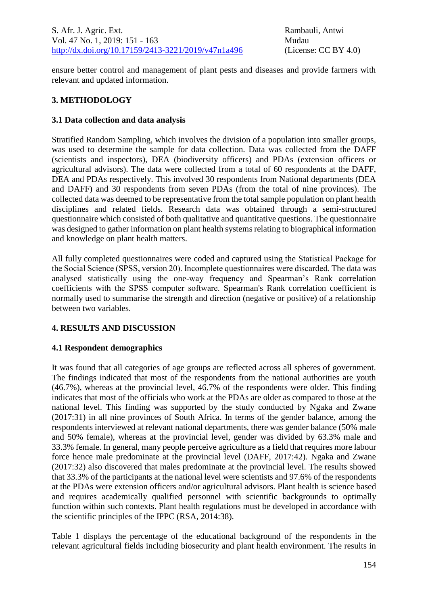ensure better control and management of plant pests and diseases and provide farmers with relevant and updated information.

## **3. METHODOLOGY**

## **3.1 Data collection and data analysis**

Stratified Random Sampling, which involves the division of a population into smaller groups, was used to determine the sample for data collection. Data was collected from the DAFF (scientists and inspectors), DEA (biodiversity officers) and PDAs (extension officers or agricultural advisors). The data were collected from a total of 60 respondents at the DAFF, DEA and PDAs respectively. This involved 30 respondents from National departments (DEA and DAFF) and 30 respondents from seven PDAs (from the total of nine provinces). The collected data was deemed to be representative from the total sample population on plant health disciplines and related fields. Research data was obtained through a semi-structured questionnaire which consisted of both qualitative and quantitative questions. The questionnaire was designed to gather information on plant health systems relating to biographical information and knowledge on plant health matters.

All fully completed questionnaires were coded and captured using the Statistical Package for the Social Science (SPSS, version 20). Incomplete questionnaires were discarded. The data was analysed statistically using the one-way frequency and Spearman's Rank correlation coefficients with the SPSS computer software. Spearman's Rank correlation coefficient is normally used to summarise the strength and direction (negative or positive) of a relationship between two variables.

## **4. RESULTS AND DISCUSSION**

## **4.1 Respondent demographics**

It was found that all categories of age groups are reflected across all spheres of government. The findings indicated that most of the respondents from the national authorities are youth (46.7%), whereas at the provincial level, 46.7% of the respondents were older. This finding indicates that most of the officials who work at the PDAs are older as compared to those at the national level. This finding was supported by the study conducted by Ngaka and Zwane (2017:31) in all nine provinces of South Africa. In terms of the gender balance, among the respondents interviewed at relevant national departments, there was gender balance (50% male and 50% female), whereas at the provincial level, gender was divided by 63.3% male and 33.3% female. In general, many people perceive agriculture as a field that requires more labour force hence male predominate at the provincial level (DAFF, 2017:42). Ngaka and Zwane (2017:32) also discovered that males predominate at the provincial level. The results showed that 33.3% of the participants at the national level were scientists and 97.6% of the respondents at the PDAs were extension officers and/or agricultural advisors. Plant health is science based and requires academically qualified personnel with scientific backgrounds to optimally function within such contexts. Plant health regulations must be developed in accordance with the scientific principles of the IPPC (RSA, 2014:38).

Table 1 displays the percentage of the educational background of the respondents in the relevant agricultural fields including biosecurity and plant health environment. The results in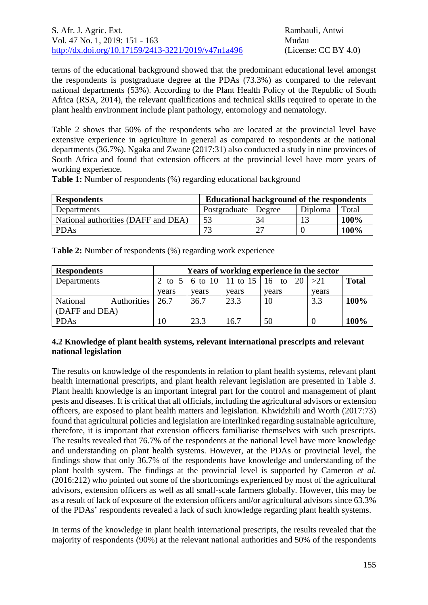terms of the educational background showed that the predominant educational level amongst the respondents is postgraduate degree at the PDAs (73.3%) as compared to the relevant national departments (53%). According to the Plant Health Policy of the Republic of South Africa (RSA, 2014), the relevant qualifications and technical skills required to operate in the plant health environment include plant pathology, entomology and nematology.

Table 2 shows that 50% of the respondents who are located at the provincial level have extensive experience in agriculture in general as compared to respondents at the national departments (36.7%). Ngaka and Zwane (2017:31) also conducted a study in nine provinces of South Africa and found that extension officers at the provincial level have more years of working experience.

| <b>Respondents</b>                  | <b>Educational background of the respondents</b> |        |         |       |
|-------------------------------------|--------------------------------------------------|--------|---------|-------|
| Departments                         | Postgraduate                                     | Degree | Diploma | Total |
| National authorities (DAFF and DEA) | 53                                               | 34     |         | 100%  |
| <b>PDAs</b>                         | 73                                               | ി7     |         | 100%  |

**Table 1:** Number of respondents (%) regarding educational background

**Table 2:** Number of respondents (%) regarding work experience

| <b>Respondents</b> |                  | Years of working experience in the sector |       |       |                                                              |       |              |
|--------------------|------------------|-------------------------------------------|-------|-------|--------------------------------------------------------------|-------|--------------|
| Departments        |                  |                                           |       |       | 2 to $5 \mid 6$ to $10 \mid 11$ to $15 \mid 16$ to $20 \mid$ | >21   | <b>Total</b> |
|                    |                  | vears                                     | vears | vears | vears                                                        | vears |              |
| National           | Authorities 26.7 |                                           | 36.7  | 23.3  | 10                                                           | 3.3   | 100%         |
| (DAFF and DEA)     |                  |                                           |       |       |                                                              |       |              |
| <b>PDAs</b>        |                  |                                           | 23.3  | 16.7  | 50                                                           |       | 100%         |

### **4.2 Knowledge of plant health systems, relevant international prescripts and relevant national legislation**

The results on knowledge of the respondents in relation to plant health systems, relevant plant health international prescripts, and plant health relevant legislation are presented in Table 3. Plant health knowledge is an important integral part for the control and management of plant pests and diseases. It is critical that all officials, including the agricultural advisors or extension officers, are exposed to plant health matters and legislation. Khwidzhili and Worth (2017:73) found that agricultural policies and legislation are interlinked regarding sustainable agriculture, therefore, it is important that extension officers familiarise themselves with such prescripts. The results revealed that 76.7% of the respondents at the national level have more knowledge and understanding on plant health systems. However, at the PDAs or provincial level, the findings show that only 36.7% of the respondents have knowledge and understanding of the plant health system. The findings at the provincial level is supported by Cameron *et al.* (2016:212) who pointed out some of the shortcomings experienced by most of the agricultural advisors, extension officers as well as all small-scale farmers globally. However, this may be as a result of lack of exposure of the extension officers and/or agricultural advisors since 63.3% of the PDAs' respondents revealed a lack of such knowledge regarding plant health systems.

In terms of the knowledge in plant health international prescripts, the results revealed that the majority of respondents (90%) at the relevant national authorities and 50% of the respondents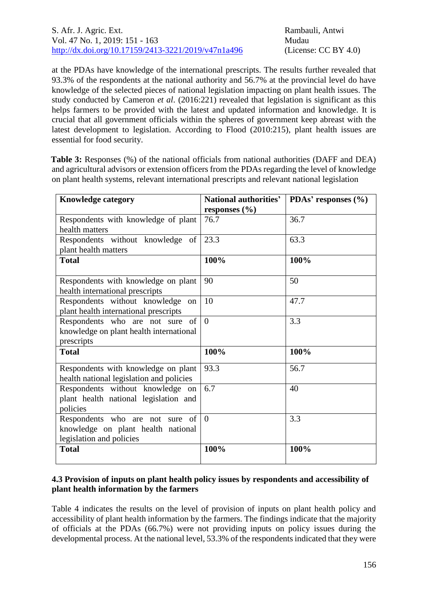at the PDAs have knowledge of the international prescripts. The results further revealed that 93.3% of the respondents at the national authority and 56.7% at the provincial level do have knowledge of the selected pieces of national legislation impacting on plant health issues. The study conducted by Cameron *et al*. (2016:221) revealed that legislation is significant as this helps farmers to be provided with the latest and updated information and knowledge. It is crucial that all government officials within the spheres of government keep abreast with the latest development to legislation. According to Flood (2010:215), plant health issues are essential for food security.

**Table 3:** Responses (%) of the national officials from national authorities (DAFF and DEA) and agricultural advisors or extension officers from the PDAs regarding the level of knowledge on plant health systems, relevant international prescripts and relevant national legislation

| <b>Knowledge category</b>                | National authorities' | PDAs' responses $(\%$ |  |
|------------------------------------------|-----------------------|-----------------------|--|
|                                          | responses $(\%$       |                       |  |
| Respondents with knowledge of plant      | 76.7                  | 36.7                  |  |
| health matters                           |                       |                       |  |
| Respondents without knowledge of         | 23.3                  | 63.3                  |  |
| plant health matters                     |                       |                       |  |
| <b>Total</b>                             | 100%                  | 100%                  |  |
|                                          |                       |                       |  |
| Respondents with knowledge on plant      | 90                    | 50                    |  |
| health international prescripts          |                       |                       |  |
| Respondents without knowledge<br>on      | 10                    | 47.7                  |  |
| plant health international prescripts    |                       |                       |  |
| Respondents who are not sure of          | $\theta$              | 3.3                   |  |
| knowledge on plant health international  |                       |                       |  |
| prescripts                               |                       |                       |  |
| <b>Total</b>                             | 100%                  | 100%                  |  |
| Respondents with knowledge on plant      | 93.3                  | 56.7                  |  |
| health national legislation and policies |                       |                       |  |
| Respondents without knowledge on         | 6.7                   | 40                    |  |
| plant health national legislation and    |                       |                       |  |
| policies                                 |                       |                       |  |
| Respondents who are not sure<br>- of     | $\theta$              | 3.3                   |  |
| knowledge on plant health national       |                       |                       |  |
| legislation and policies                 |                       |                       |  |
| <b>Total</b>                             | 100%                  | 100%                  |  |
|                                          |                       |                       |  |

## **4.3 Provision of inputs on plant health policy issues by respondents and accessibility of plant health information by the farmers**

Table 4 indicates the results on the level of provision of inputs on plant health policy and accessibility of plant health information by the farmers. The findings indicate that the majority of officials at the PDAs (66.7%) were not providing inputs on policy issues during the developmental process. At the national level, 53.3% of the respondents indicated that they were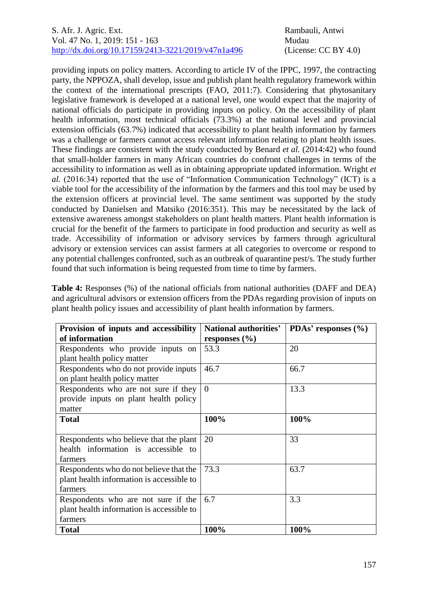## S. Afr. J. Agric. Ext. Rambauli, Antwi Vol. 47 No. 1, 2019: 151 - 163 Mudau [http://dx.doi.org/10.17159/2413-3221/2019/v47n1a496](https://urldefense.proofpoint.com/v2/url?u=http-3A__dx.doi.org_10.17159_2413-2D3221_2019_v47n1a485&d=DwMFAg&c=vTCSeBKl9YZZHWJzz-zQUQ&r=2O1irMqrdumXAIE9PdSLREhTXj5iyPGEywcz8I6zQwI&m=niwmmhX1mCI8GpeJjK8D7j-v09hQgXHBu3LsS3Opojw&s=98o8gy8B6ly02TS5WoJvLScIQPXENi4ceK3R3c9Iu9c&e=) (License: CC BY 4.0)

providing inputs on policy matters. According to article IV of the IPPC, 1997, the contracting party, the NPPOZA, shall develop, issue and publish plant health regulatory framework within the context of the international prescripts (FAO, 2011:7). Considering that phytosanitary legislative framework is developed at a national level, one would expect that the majority of national officials do participate in providing inputs on policy. On the accessibility of plant health information, most technical officials (73.3%) at the national level and provincial extension officials (63.7%) indicated that accessibility to plant health information by farmers was a challenge or farmers cannot access relevant information relating to plant health issues. These findings are consistent with the study conducted by Benard *et al.* (2014:42) who found that small-holder farmers in many African countries do confront challenges in terms of the accessibility to information as well as in obtaining appropriate updated information. Wright *et al.* (2016:34) reported that the use of "Information Communication Technology" (ICT) is a viable tool for the accessibility of the information by the farmers and this tool may be used by the extension officers at provincial level. The same sentiment was supported by the study conducted by Danielsen and Matsiko (2016:351). This may be necessitated by the lack of extensive awareness amongst stakeholders on plant health matters. Plant health information is crucial for the benefit of the farmers to participate in food production and security as well as trade. Accessibility of information or advisory services by farmers through agricultural advisory or extension services can assist farmers at all categories to overcome or respond to any potential challenges confronted, such as an outbreak of quarantine pest/s. The study further found that such information is being requested from time to time by farmers.

**Table 4:** Responses (%) of the national officials from national authorities (DAFF and DEA) and agricultural advisors or extension officers from the PDAs regarding provision of inputs on plant health policy issues and accessibility of plant health information by farmers.

| Provision of inputs and accessibility     | National authorities' | PDAs' responses $(\% )$ |
|-------------------------------------------|-----------------------|-------------------------|
| of information                            | responses $(\% )$     |                         |
| Respondents who provide inputs on         | 53.3                  | 20                      |
| plant health policy matter                |                       |                         |
| Respondents who do not provide inputs     | 46.7                  | 66.7                    |
| on plant health policy matter             |                       |                         |
| Respondents who are not sure if they      | $\theta$              | 13.3                    |
| provide inputs on plant health policy     |                       |                         |
| matter                                    |                       |                         |
| <b>Total</b>                              | 100%                  | 100%                    |
|                                           |                       |                         |
| Respondents who believe that the plant    | 20                    | 33                      |
| health information is accessible to       |                       |                         |
| farmers                                   |                       |                         |
| Respondents who do not believe that the   | 73.3                  | 63.7                    |
| plant health information is accessible to |                       |                         |
| farmers                                   |                       |                         |
| Respondents who are not sure if the       | 6.7                   | 3.3                     |
| plant health information is accessible to |                       |                         |
| farmers                                   |                       |                         |
| <b>Total</b>                              | 100%                  | 100%                    |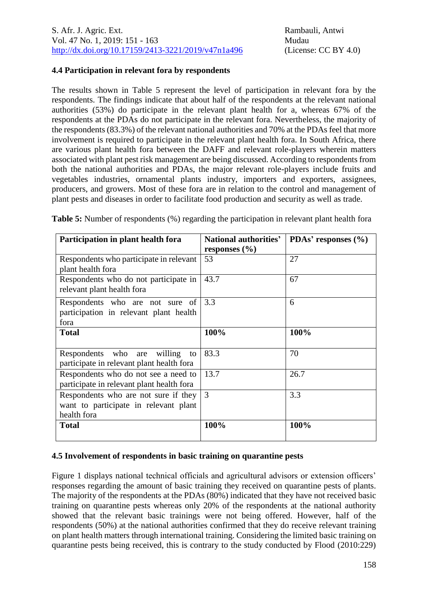## **4.4 Participation in relevant fora by respondents**

The results shown in Table 5 represent the level of participation in relevant fora by the respondents. The findings indicate that about half of the respondents at the relevant national authorities (53%) do participate in the relevant plant health for a, whereas 67% of the respondents at the PDAs do not participate in the relevant fora. Nevertheless, the majority of the respondents (83.3%) of the relevant national authorities and 70% at the PDAs feel that more involvement is required to participate in the relevant plant health fora. In South Africa, there are various plant health fora between the DAFF and relevant role-players wherein matters associated with plant pest risk management are being discussed. According to respondents from both the national authorities and PDAs, the major relevant role-players include fruits and vegetables industries, ornamental plants industry, importers and exporters, assignees, producers, and growers. Most of these fora are in relation to the control and management of plant pests and diseases in order to facilitate food production and security as well as trade.

| Participation in plant health fora        | National authorities' | PDAs' responses $(\% )$ |  |
|-------------------------------------------|-----------------------|-------------------------|--|
|                                           | responses $(\% )$     |                         |  |
| Respondents who participate in relevant   | 53                    | 27                      |  |
| plant health fora                         |                       |                         |  |
| Respondents who do not participate in     | 43.7                  | 67                      |  |
| relevant plant health fora                |                       |                         |  |
| Respondents who are not sure of           | 3.3                   | 6                       |  |
| participation in relevant plant health    |                       |                         |  |
| fora                                      |                       |                         |  |
| <b>Total</b>                              | 100%                  | 100%                    |  |
|                                           |                       |                         |  |
| Respondents who are<br>willing<br>to      | 83.3                  | 70                      |  |
| participate in relevant plant health fora |                       |                         |  |
| Respondents who do not see a need to      | 13.7                  | 26.7                    |  |
| participate in relevant plant health fora |                       |                         |  |
| Respondents who are not sure if they      | 3                     | 3.3                     |  |
| want to participate in relevant plant     |                       |                         |  |
| health fora                               |                       |                         |  |
| <b>Total</b>                              | 100%                  | 100%                    |  |
|                                           |                       |                         |  |

**Table 5:** Number of respondents (%) regarding the participation in relevant plant health fora

# **4.5 Involvement of respondents in basic training on quarantine pests**

Figure 1 displays national technical officials and agricultural advisors or extension officers' responses regarding the amount of basic training they received on quarantine pests of plants. The majority of the respondents at the PDAs (80%) indicated that they have not received basic training on quarantine pests whereas only 20% of the respondents at the national authority showed that the relevant basic trainings were not being offered. However, half of the respondents (50%) at the national authorities confirmed that they do receive relevant training on plant health matters through international training. Considering the limited basic training on quarantine pests being received, this is contrary to the study conducted by Flood (2010:229)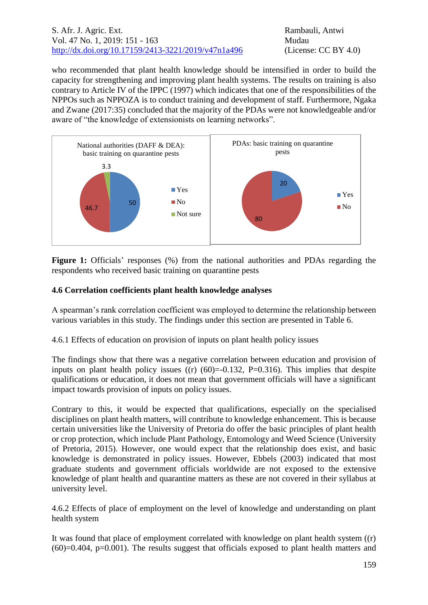### S. Afr. J. Agric. Ext. Rambauli, Antwi Vol. 47 No. 1, 2019: 151 - 163 Mudau [http://dx.doi.org/10.17159/2413-3221/2019/v47n1a496](https://urldefense.proofpoint.com/v2/url?u=http-3A__dx.doi.org_10.17159_2413-2D3221_2019_v47n1a485&d=DwMFAg&c=vTCSeBKl9YZZHWJzz-zQUQ&r=2O1irMqrdumXAIE9PdSLREhTXj5iyPGEywcz8I6zQwI&m=niwmmhX1mCI8GpeJjK8D7j-v09hQgXHBu3LsS3Opojw&s=98o8gy8B6ly02TS5WoJvLScIQPXENi4ceK3R3c9Iu9c&e=) (License: CC BY 4.0)

who recommended that plant health knowledge should be intensified in order to build the capacity for strengthening and improving plant health systems. The results on training is also contrary to Article IV of the IPPC (1997) which indicates that one of the responsibilities of the NPPOs such as NPPOZA is to conduct training and development of staff. Furthermore, Ngaka and Zwane (2017:35) concluded that the majority of the PDAs were not knowledgeable and/or aware of "the knowledge of extensionists on learning networks".



**Figure 1:** Officials' responses (%) from the national authorities and PDAs regarding the respondents who received basic training on quarantine pests

## **4.6 Correlation coefficients plant health knowledge analyses**

A spearman's rank correlation coefficient was employed to determine the relationship between various variables in this study. The findings under this section are presented in Table 6.

4.6.1 Effects of education on provision of inputs on plant health policy issues

The findings show that there was a negative correlation between education and provision of inputs on plant health policy issues  $((r) (60)=0.132, P=0.316)$ . This implies that despite qualifications or education, it does not mean that government officials will have a significant impact towards provision of inputs on policy issues.

Contrary to this, it would be expected that qualifications, especially on the specialised disciplines on plant health matters, will contribute to knowledge enhancement. This is because certain universities like the University of Pretoria do offer the basic principles of plant health or crop protection, which include Plant Pathology, Entomology and Weed Science (University of Pretoria, 2015). However, one would expect that the relationship does exist, and basic knowledge is demonstrated in policy issues. However, Ebbels (2003) indicated that most graduate students and government officials worldwide are not exposed to the extensive knowledge of plant health and quarantine matters as these are not covered in their syllabus at university level.

4.6.2 Effects of place of employment on the level of knowledge and understanding on plant health system

It was found that place of employment correlated with knowledge on plant health system ((r)  $(60)=0.404$ ,  $p=0.001$ ). The results suggest that officials exposed to plant health matters and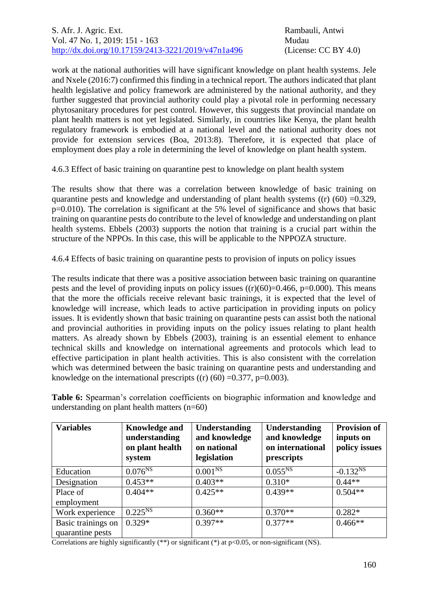work at the national authorities will have significant knowledge on plant health systems. Jele and Nxele (2016:7) confirmed this finding in a technical report. The authors indicated that plant health legislative and policy framework are administered by the national authority, and they further suggested that provincial authority could play a pivotal role in performing necessary phytosanitary procedures for pest control. However, this suggests that provincial mandate on plant health matters is not yet legislated. Similarly, in countries like Kenya, the plant health regulatory framework is embodied at a national level and the national authority does not provide for extension services (Boa, 2013:8). Therefore, it is expected that place of employment does play a role in determining the level of knowledge on plant health system.

4.6.3 Effect of basic training on quarantine pest to knowledge on plant health system

The results show that there was a correlation between knowledge of basic training on quarantine pests and knowledge and understanding of plant health systems  $((r) (60) = 0.329$ , p=0.010). The correlation is significant at the 5% level of significance and shows that basic training on quarantine pests do contribute to the level of knowledge and understanding on plant health systems. Ebbels (2003) supports the notion that training is a crucial part within the structure of the NPPOs. In this case, this will be applicable to the NPPOZA structure.

4.6.4 Effects of basic training on quarantine pests to provision of inputs on policy issues

The results indicate that there was a positive association between basic training on quarantine pests and the level of providing inputs on policy issues  $((r)(60)=0.466, p=0.000)$ . This means that the more the officials receive relevant basic trainings, it is expected that the level of knowledge will increase, which leads to active participation in providing inputs on policy issues. It is evidently shown that basic training on quarantine pests can assist both the national and provincial authorities in providing inputs on the policy issues relating to plant health matters. As already shown by Ebbels (2003), training is an essential element to enhance technical skills and knowledge on international agreements and protocols which lead to effective participation in plant health activities. This is also consistent with the correlation which was determined between the basic training on quarantine pests and understanding and knowledge on the international prescripts  $((r) (60) = 0.377, p=0.003)$ .

| <b>Variables</b>   | <b>Knowledge and</b><br>understanding<br>on plant health<br>system | <b>Understanding</b><br>and knowledge<br>on national<br>legislation | Understanding<br>and knowledge<br>on international<br>prescripts | <b>Provision of</b><br>inputs on<br>policy issues |
|--------------------|--------------------------------------------------------------------|---------------------------------------------------------------------|------------------------------------------------------------------|---------------------------------------------------|
| Education          | $0.076^{NS}$                                                       | 0.001 <sup>NS</sup>                                                 | $0.055^{NS}$                                                     | $-0.132^{NS}$                                     |
| Designation        | $0.453**$                                                          | $0.403**$                                                           | $0.310*$                                                         | $0.44**$                                          |
| Place of           | $0.404**$                                                          | $0.425**$                                                           | $0.439**$                                                        | $0.504**$                                         |
| employment         |                                                                    |                                                                     |                                                                  |                                                   |
| Work experience    | $0.225^{NS}$                                                       | $0.360**$                                                           | $0.370**$                                                        | $0.282*$                                          |
| Basic trainings on | $0.329*$                                                           | $0.397**$                                                           | $0.377**$                                                        | $0.466**$                                         |
| quarantine pests   |                                                                    |                                                                     |                                                                  |                                                   |

**Table 6:** Spearman's correlation coefficients on biographic information and knowledge and understanding on plant health matters (n=60)

Correlations are highly significantly  $(**)$  or significant  $(*)$  at p<0.05, or non-significant (NS).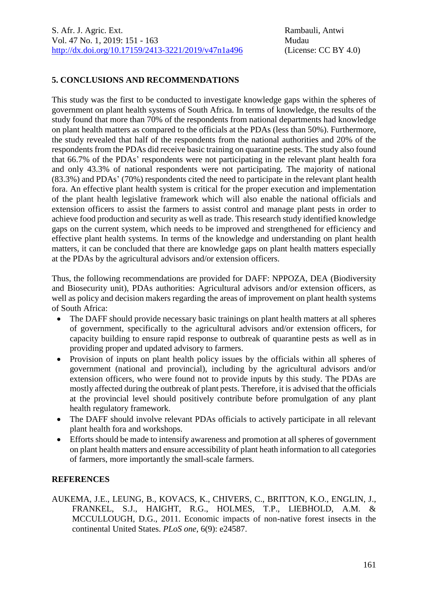#### **5. CONCLUSIONS AND RECOMMENDATIONS**

This study was the first to be conducted to investigate knowledge gaps within the spheres of government on plant health systems of South Africa. In terms of knowledge, the results of the study found that more than 70% of the respondents from national departments had knowledge on plant health matters as compared to the officials at the PDAs (less than 50%). Furthermore, the study revealed that half of the respondents from the national authorities and 20% of the respondents from the PDAs did receive basic training on quarantine pests. The study also found that 66.7% of the PDAs' respondents were not participating in the relevant plant health fora and only 43.3% of national respondents were not participating. The majority of national (83.3%) and PDAs' (70%) respondents cited the need to participate in the relevant plant health fora. An effective plant health system is critical for the proper execution and implementation of the plant health legislative framework which will also enable the national officials and extension officers to assist the farmers to assist control and manage plant pests in order to achieve food production and security as well as trade. This research study identified knowledge gaps on the current system, which needs to be improved and strengthened for efficiency and effective plant health systems. In terms of the knowledge and understanding on plant health matters, it can be concluded that there are knowledge gaps on plant health matters especially at the PDAs by the agricultural advisors and/or extension officers.

Thus, the following recommendations are provided for DAFF: NPPOZA, DEA (Biodiversity and Biosecurity unit), PDAs authorities: Agricultural advisors and/or extension officers, as well as policy and decision makers regarding the areas of improvement on plant health systems of South Africa:

- The DAFF should provide necessary basic trainings on plant health matters at all spheres of government, specifically to the agricultural advisors and/or extension officers, for capacity building to ensure rapid response to outbreak of quarantine pests as well as in providing proper and updated advisory to farmers.
- Provision of inputs on plant health policy issues by the officials within all spheres of government (national and provincial), including by the agricultural advisors and/or extension officers, who were found not to provide inputs by this study. The PDAs are mostly affected during the outbreak of plant pests. Therefore, it is advised that the officials at the provincial level should positively contribute before promulgation of any plant health regulatory framework.
- The DAFF should involve relevant PDAs officials to actively participate in all relevant plant health fora and workshops.
- Efforts should be made to intensify awareness and promotion at all spheres of government on plant health matters and ensure accessibility of plant heath information to all categories of farmers, more importantly the small-scale farmers.

## **REFERENCES**

AUKEMA, J.E., LEUNG, B., KOVACS, K., CHIVERS, C., BRITTON, K.O., ENGLIN, J., FRANKEL, S.J., HAIGHT, R.G., HOLMES, T.P., LIEBHOLD, A.M. & MCCULLOUGH, D.G., 2011. Economic impacts of non-native forest insects in the continental United States. *PLoS one*, 6(9): e24587.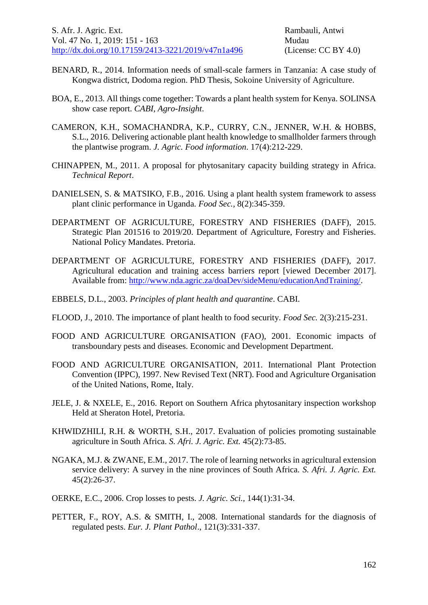- BENARD, R., 2014. Information needs of small-scale farmers in Tanzania: A case study of Kongwa district, Dodoma region. PhD Thesis, Sokoine University of Agriculture.
- BOA, E., 2013. All things come together: Towards a plant health system for Kenya. SOLINSA show case report. *CABI, Agro-Insight*.
- CAMERON, K.H., SOMACHANDRA, K.P., CURRY, C.N., JENNER, W.H. & HOBBS, S.L., 2016. Delivering actionable plant health knowledge to smallholder farmers through the plantwise program. *J. Agric. Food information*. 17(4):212-229.
- CHINAPPEN, M., 2011. A proposal for phytosanitary capacity building strategy in Africa. *Technical Report*.
- DANIELSEN, S. & MATSIKO, F.B., 2016. Using a plant health system framework to assess plant clinic performance in Uganda. *Food Sec.,* 8(2):345-359.
- DEPARTMENT OF AGRICULTURE, FORESTRY AND FISHERIES (DAFF), 2015. Strategic Plan 201516 to 2019/20. Department of Agriculture, Forestry and Fisheries. National Policy Mandates. Pretoria.
- DEPARTMENT OF AGRICULTURE, FORESTRY AND FISHERIES (DAFF), 2017. Agricultural education and training access barriers report [viewed December 2017]. Available from: [http://www.nda.agric.za/doaDev/sideMenu/educationAndTraining/.](http://www.nda.agric.za/doaDev/sideMenu/educationAndTraining/)
- EBBELS, D.L., 2003. *Principles of plant health and quarantine*. CABI.
- FLOOD, J., 2010. The importance of plant health to food security. *Food Sec.* 2(3):215-231.
- FOOD AND AGRICULTURE ORGANISATION (FAO), 2001. Economic impacts of transboundary pests and diseases. Economic and Development Department.
- FOOD AND AGRICULTURE ORGANISATION, 2011. International Plant Protection Convention (IPPC), 1997. New Revised Text (NRT). Food and Agriculture Organisation of the United Nations, Rome, Italy.
- JELE, J. & NXELE, E., 2016. Report on Southern Africa phytosanitary inspection workshop Held at Sheraton Hotel, Pretoria.
- KHWIDZHILI, R.H. & WORTH, S.H., 2017. Evaluation of policies promoting sustainable agriculture in South Africa. *S. Afri. J. Agric. Ext.* 45(2):73-85.
- NGAKA, M.J. & ZWANE, E.M., 2017. The role of learning networks in agricultural extension service delivery: A survey in the nine provinces of South Africa. *S. Afri. J. Agric. Ext.*  45(2):26-37.
- OERKE, E.C., 2006. Crop losses to pests. *J. Agric. Sci.,* 144(1):31-34.
- PETTER, F., ROY, A.S. & SMITH, I., 2008. International standards for the diagnosis of regulated pests. *Eur. J. Plant Pathol*., 121(3):331-337.